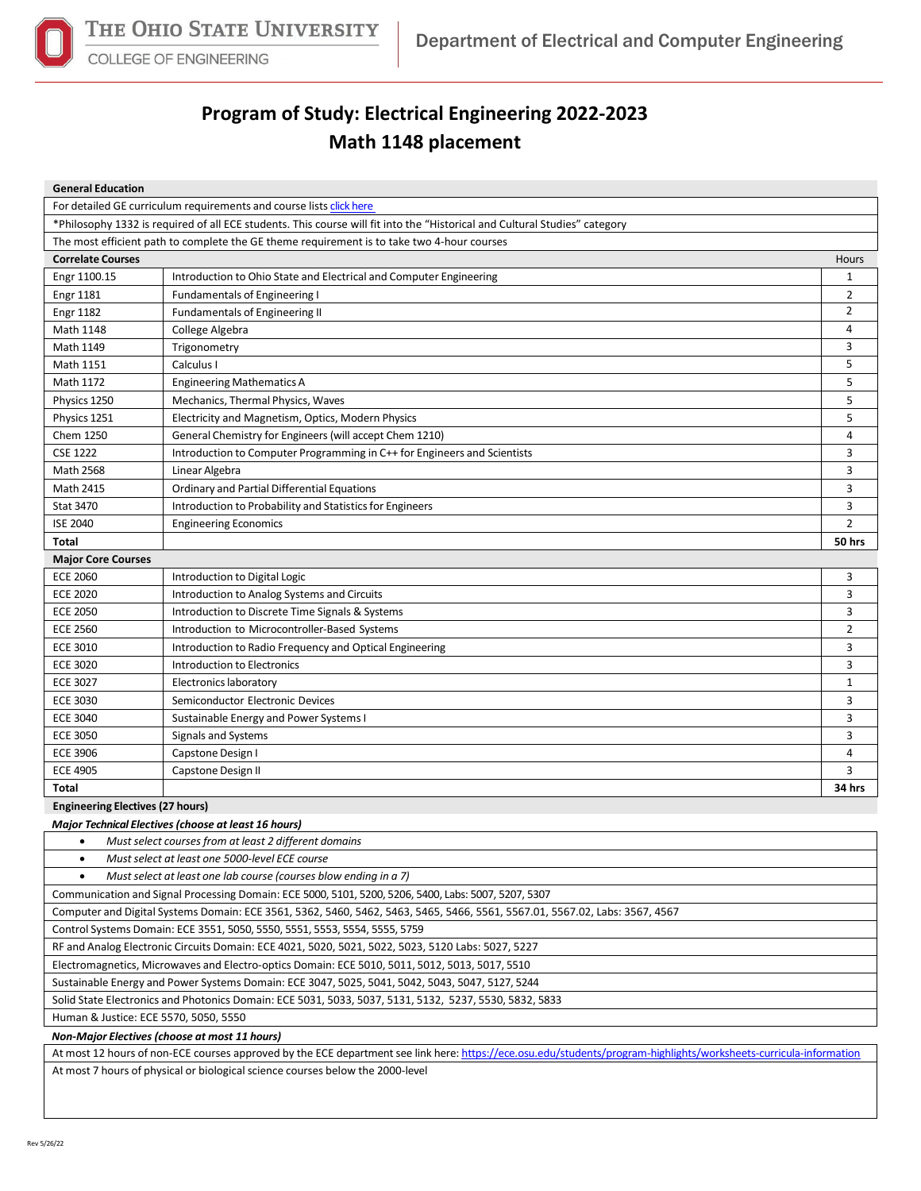

COLLEGE OF ENGINEERING

## **Program of Study: Electrical Engineering 2022-2023**

## **Math 1148 placement**

| <b>General Education</b>                                                                                                    |                                                                          |                |  |  |  |  |
|-----------------------------------------------------------------------------------------------------------------------------|--------------------------------------------------------------------------|----------------|--|--|--|--|
| For detailed GE curriculum requirements and course lists click here                                                         |                                                                          |                |  |  |  |  |
| *Philosophy 1332 is required of all ECE students. This course will fit into the "Historical and Cultural Studies" category  |                                                                          |                |  |  |  |  |
| The most efficient path to complete the GE theme requirement is to take two 4-hour courses                                  |                                                                          |                |  |  |  |  |
| <b>Correlate Courses</b><br>Hours                                                                                           |                                                                          |                |  |  |  |  |
| Engr 1100.15                                                                                                                | Introduction to Ohio State and Electrical and Computer Engineering       | 1              |  |  |  |  |
| <b>Engr 1181</b>                                                                                                            | <b>Fundamentals of Engineering I</b>                                     | 2              |  |  |  |  |
| <b>Engr 1182</b>                                                                                                            | Fundamentals of Engineering II                                           | 2              |  |  |  |  |
| Math 1148                                                                                                                   | College Algebra                                                          | 4              |  |  |  |  |
| Math 1149                                                                                                                   | Trigonometry                                                             | 3              |  |  |  |  |
| Math 1151                                                                                                                   | Calculus I                                                               | 5              |  |  |  |  |
| Math 1172                                                                                                                   | <b>Engineering Mathematics A</b>                                         | 5              |  |  |  |  |
| Physics 1250                                                                                                                | Mechanics, Thermal Physics, Waves                                        | 5              |  |  |  |  |
| Physics 1251                                                                                                                | Electricity and Magnetism, Optics, Modern Physics                        | 5              |  |  |  |  |
| Chem 1250                                                                                                                   | General Chemistry for Engineers (will accept Chem 1210)                  | 4              |  |  |  |  |
| <b>CSE 1222</b>                                                                                                             | Introduction to Computer Programming in C++ for Engineers and Scientists | 3              |  |  |  |  |
| Math 2568                                                                                                                   | Linear Algebra                                                           | 3              |  |  |  |  |
| Math 2415                                                                                                                   | Ordinary and Partial Differential Equations                              | 3              |  |  |  |  |
| <b>Stat 3470</b>                                                                                                            | Introduction to Probability and Statistics for Engineers                 | 3              |  |  |  |  |
| <b>ISE 2040</b>                                                                                                             | <b>Engineering Economics</b>                                             | $\overline{2}$ |  |  |  |  |
| <b>Total</b>                                                                                                                |                                                                          | 50 hrs         |  |  |  |  |
| <b>Major Core Courses</b>                                                                                                   |                                                                          |                |  |  |  |  |
| <b>ECE 2060</b>                                                                                                             | Introduction to Digital Logic                                            | 3              |  |  |  |  |
| <b>ECE 2020</b>                                                                                                             | Introduction to Analog Systems and Circuits                              | 3              |  |  |  |  |
| <b>ECE 2050</b>                                                                                                             | Introduction to Discrete Time Signals & Systems                          | 3              |  |  |  |  |
| <b>ECE 2560</b>                                                                                                             | Introduction to Microcontroller-Based Systems                            | $\overline{2}$ |  |  |  |  |
| <b>ECE 3010</b>                                                                                                             | Introduction to Radio Frequency and Optical Engineering                  | 3              |  |  |  |  |
| <b>ECE 3020</b>                                                                                                             | Introduction to Electronics                                              | 3              |  |  |  |  |
| <b>ECE 3027</b>                                                                                                             | Electronics laboratory                                                   | 1              |  |  |  |  |
| <b>ECE 3030</b>                                                                                                             | Semiconductor Electronic Devices                                         | 3              |  |  |  |  |
| <b>ECE 3040</b>                                                                                                             | Sustainable Energy and Power Systems I                                   | 3              |  |  |  |  |
| <b>ECE 3050</b>                                                                                                             | Signals and Systems                                                      | 3              |  |  |  |  |
| <b>ECE 3906</b>                                                                                                             | Capstone Design I                                                        | 4              |  |  |  |  |
| <b>ECE 4905</b>                                                                                                             | Capstone Design II                                                       | 3              |  |  |  |  |
| Total                                                                                                                       |                                                                          | 34 hrs         |  |  |  |  |
| <b>Engineering Electives (27 hours)</b>                                                                                     |                                                                          |                |  |  |  |  |
| Major Technical Electives (choose at least 16 hours)                                                                        |                                                                          |                |  |  |  |  |
| Must select courses from at least 2 different domains<br>$\bullet$                                                          |                                                                          |                |  |  |  |  |
| $\bullet$<br>Must select at least one 5000-level ECE course                                                                 |                                                                          |                |  |  |  |  |
| Must select at least one lab course (courses blow ending in a 7)<br>$\bullet$                                               |                                                                          |                |  |  |  |  |
| Communication and Signal Processing Domain: ECE 5000, 5101, 5200, 5206, 5400, Labs: 5007, 5207, 5307                        |                                                                          |                |  |  |  |  |
| Computer and Digital Systems Domain: ECE 3561, 5362, 5460, 5462, 5463, 5465, 5466, 5561, 5567.01, 5567.02, Labs: 3567, 4567 |                                                                          |                |  |  |  |  |
| Control Systems Domain: ECE 3551, 5050, 5550, 5551, 5553, 5554, 5555, 5759                                                  |                                                                          |                |  |  |  |  |
| RF and Analog Electronic Circuits Domain: ECE 4021, 5020, 5021, 5022, 5023, 5120 Labs: 5027, 5227                           |                                                                          |                |  |  |  |  |
| Electromagnetics, Microwaves and Electro-optics Domain: ECE 5010, 5011, 5012, 5013, 5017, 5510                              |                                                                          |                |  |  |  |  |
| Sustainable Energy and Power Systems Domain: ECE 3047, 5025, 5041, 5042, 5043, 5047, 5127, 5244                             |                                                                          |                |  |  |  |  |

Solid State Electronics and Photonics Domain: ECE 5031, 5033, 5037, 5131, 5132, 5237, 5530, 5832, 5833

Human & Justice: ECE 5570, 5050, 5550

*Non-Major Electives (choose at most 11 hours)*

At most 12 hours of non-ECE courses approved by the ECE department see link here[: https://ece.osu.edu/students/program-highlights/worksheets-curricula-information](https://ece.osu.edu/students/program-highlights/worksheets-curricula-information) At most 7 hours of physical or biological science courses below the 2000-level